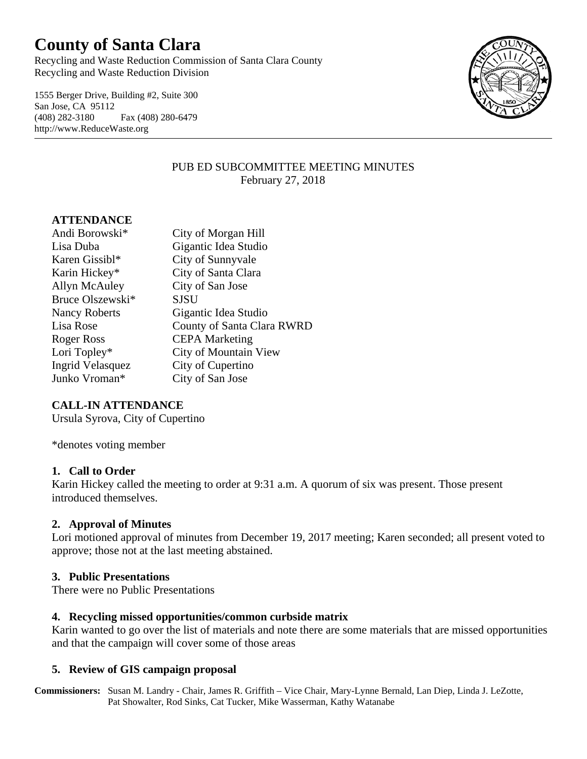# **County of Santa Clara**

Recycling and Waste Reduction Commission of Santa Clara County Recycling and Waste Reduction Division

1555 Berger Drive, Building #2, Suite 300 San Jose, CA 95112 (408) 282-3180 Fax (408) 280-6479 http://www.ReduceWaste.org



#### PUB ED SUBCOMMITTEE MEETING MINUTES February 27, 2018

#### **ATTENDANCE**

| Andi Borowski*             | City of Morgan Hill        |
|----------------------------|----------------------------|
| Lisa Duba                  | Gigantic Idea Studio       |
| Karen Gissibl <sup>*</sup> | City of Sunnyvale          |
| Karin Hickey*              | City of Santa Clara        |
| Allyn McAuley              | City of San Jose           |
| Bruce Olszewski*           | <b>SJSU</b>                |
| <b>Nancy Roberts</b>       | Gigantic Idea Studio       |
| Lisa Rose                  | County of Santa Clara RWRD |
| Roger Ross                 | <b>CEPA Marketing</b>      |
| Lori Topley*               | City of Mountain View      |
| <b>Ingrid Velasquez</b>    | City of Cupertino          |
| Junko Vroman*              | City of San Jose           |

#### **CALL-IN ATTENDANCE**

Ursula Syrova, City of Cupertino

\*denotes voting member

#### **1. Call to Order**

Karin Hickey called the meeting to order at 9:31 a.m. A quorum of six was present. Those present introduced themselves.

#### **2. Approval of Minutes**

Lori motioned approval of minutes from December 19, 2017 meeting; Karen seconded; all present voted to approve; those not at the last meeting abstained.

#### **3. Public Presentations**

There were no Public Presentations

#### **4. Recycling missed opportunities/common curbside matrix**

Karin wanted to go over the list of materials and note there are some materials that are missed opportunities and that the campaign will cover some of those areas

#### **5. Review of GIS campaign proposal**

**Commissioners:** Susan M. Landry - Chair, James R. Griffith – Vice Chair, Mary-Lynne Bernald, Lan Diep, Linda J. LeZotte, Pat Showalter, Rod Sinks, Cat Tucker, Mike Wasserman, Kathy Watanabe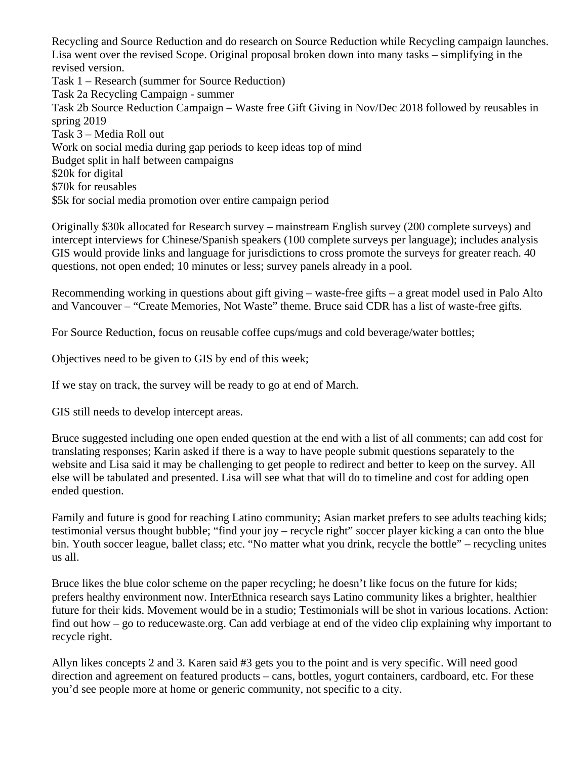Recycling and Source Reduction and do research on Source Reduction while Recycling campaign launches. Lisa went over the revised Scope. Original proposal broken down into many tasks – simplifying in the revised version. Task 1 – Research (summer for Source Reduction) Task 2a Recycling Campaign - summer Task 2b Source Reduction Campaign – Waste free Gift Giving in Nov/Dec 2018 followed by reusables in spring 2019 Task 3 – Media Roll out Work on social media during gap periods to keep ideas top of mind Budget split in half between campaigns \$20k for digital \$70k for reusables \$5k for social media promotion over entire campaign period

Originally \$30k allocated for Research survey – mainstream English survey (200 complete surveys) and intercept interviews for Chinese/Spanish speakers (100 complete surveys per language); includes analysis GIS would provide links and language for jurisdictions to cross promote the surveys for greater reach. 40 questions, not open ended; 10 minutes or less; survey panels already in a pool.

Recommending working in questions about gift giving – waste-free gifts – a great model used in Palo Alto and Vancouver – "Create Memories, Not Waste" theme. Bruce said CDR has a list of waste-free gifts.

For Source Reduction, focus on reusable coffee cups/mugs and cold beverage/water bottles;

Objectives need to be given to GIS by end of this week;

If we stay on track, the survey will be ready to go at end of March.

GIS still needs to develop intercept areas.

Bruce suggested including one open ended question at the end with a list of all comments; can add cost for translating responses; Karin asked if there is a way to have people submit questions separately to the website and Lisa said it may be challenging to get people to redirect and better to keep on the survey. All else will be tabulated and presented. Lisa will see what that will do to timeline and cost for adding open ended question.

Family and future is good for reaching Latino community; Asian market prefers to see adults teaching kids; testimonial versus thought bubble; "find your joy – recycle right" soccer player kicking a can onto the blue bin. Youth soccer league, ballet class; etc. "No matter what you drink, recycle the bottle" – recycling unites us all.

Bruce likes the blue color scheme on the paper recycling; he doesn't like focus on the future for kids; prefers healthy environment now. InterEthnica research says Latino community likes a brighter, healthier future for their kids. Movement would be in a studio; Testimonials will be shot in various locations. Action: find out how – go to reducewaste.org. Can add verbiage at end of the video clip explaining why important to recycle right.

Allyn likes concepts 2 and 3. Karen said #3 gets you to the point and is very specific. Will need good direction and agreement on featured products – cans, bottles, yogurt containers, cardboard, etc. For these you'd see people more at home or generic community, not specific to a city.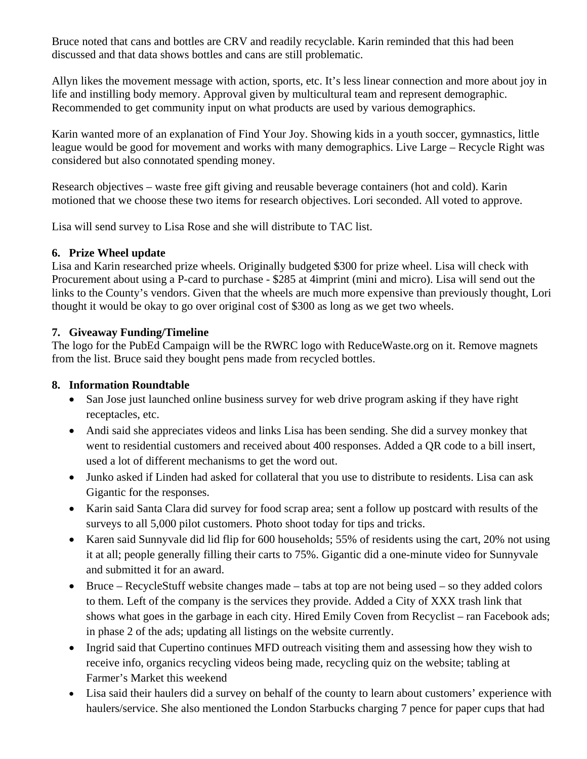Bruce noted that cans and bottles are CRV and readily recyclable. Karin reminded that this had been discussed and that data shows bottles and cans are still problematic.

Allyn likes the movement message with action, sports, etc. It's less linear connection and more about joy in life and instilling body memory. Approval given by multicultural team and represent demographic. Recommended to get community input on what products are used by various demographics.

Karin wanted more of an explanation of Find Your Joy. Showing kids in a youth soccer, gymnastics, little league would be good for movement and works with many demographics. Live Large – Recycle Right was considered but also connotated spending money.

Research objectives – waste free gift giving and reusable beverage containers (hot and cold). Karin motioned that we choose these two items for research objectives. Lori seconded. All voted to approve.

Lisa will send survey to Lisa Rose and she will distribute to TAC list.

#### **6. Prize Wheel update**

Lisa and Karin researched prize wheels. Originally budgeted \$300 for prize wheel. Lisa will check with Procurement about using a P-card to purchase - \$285 at 4imprint (mini and micro). Lisa will send out the links to the County's vendors. Given that the wheels are much more expensive than previously thought, Lori thought it would be okay to go over original cost of \$300 as long as we get two wheels.

#### **7. Giveaway Funding/Timeline**

The logo for the PubEd Campaign will be the RWRC logo with ReduceWaste.org on it. Remove magnets from the list. Bruce said they bought pens made from recycled bottles.

#### **8. Information Roundtable**

- San Jose just launched online business survey for web drive program asking if they have right receptacles, etc.
- Andi said she appreciates videos and links Lisa has been sending. She did a survey monkey that went to residential customers and received about 400 responses. Added a QR code to a bill insert, used a lot of different mechanisms to get the word out.
- Junko asked if Linden had asked for collateral that you use to distribute to residents. Lisa can ask Gigantic for the responses.
- Karin said Santa Clara did survey for food scrap area; sent a follow up postcard with results of the surveys to all 5,000 pilot customers. Photo shoot today for tips and tricks.
- Karen said Sunnyvale did lid flip for 600 households; 55% of residents using the cart, 20% not using it at all; people generally filling their carts to 75%. Gigantic did a one-minute video for Sunnyvale and submitted it for an award.
- Bruce RecycleStuff website changes made tabs at top are not being used so they added colors to them. Left of the company is the services they provide. Added a City of XXX trash link that shows what goes in the garbage in each city. Hired Emily Coven from Recyclist – ran Facebook ads; in phase 2 of the ads; updating all listings on the website currently.
- Ingrid said that Cupertino continues MFD outreach visiting them and assessing how they wish to receive info, organics recycling videos being made, recycling quiz on the website; tabling at Farmer's Market this weekend
- Lisa said their haulers did a survey on behalf of the county to learn about customers' experience with haulers/service. She also mentioned the London Starbucks charging 7 pence for paper cups that had